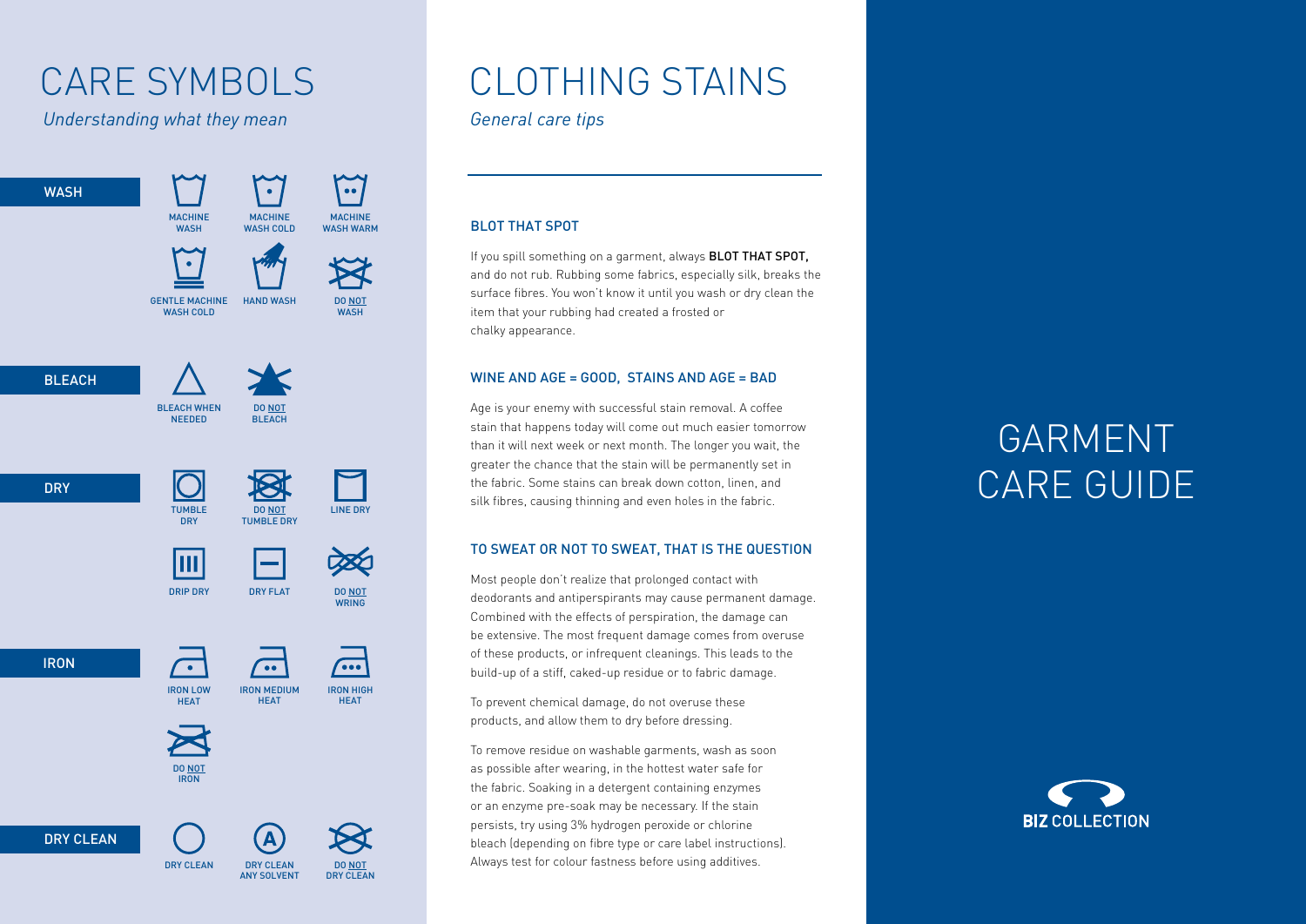*Understanding what they mean General care tips*

 $\sum_{\bullet\bullet}$  $\bullet$ WASH **MACHINE** MACHINE MACHINE **WASH** WASH COLD WASH WARM GENTLE MACHINE HAND WASH DO NOT WASH COLD WASH **BLEACH** BLEACH WHEN DO NOT NEEDED **BLEACH DRY** TUMBLE DO NOT LINE DRY **DRY** TUMBLE DRY IШ DRIP DRY DRY FLAT DO NOT **WDING** IRON  $\overline{\cdots}$  $\bullet$  $\bullet$ IRON LOW IRON MEDIUM IRON HIGH **HEAT HEAT HEAT** DO NOT IRON DRY CLEAN DO NOT

ANY SOLVENT

DRY CLEAN

### CARE SYMBOLS CLOTHING STAINS

#### BLOT THAT SPOT

If you spill something on a garment, always **BLOT THAT SPOT,** and do not rub. Rubbing some fabrics, especially silk, breaks the surface fibres. You won't know it until you wash or dry clean the item that your rubbing had created a frosted or chalky appearance.

#### WINE AND AGE = GOOD, STAINS AND AGE = BAD

Age is your enemy with successful stain removal. A coffee stain that happens today will come out much easier tomorrow than it will next week or next month. The longer you wait, the greater the chance that the stain will be permanently set in the fabric. Some stains can break down cotton, linen, and silk fibres, causing thinning and even holes in the fabric.

#### TO SWEAT OR NOT TO SWEAT, THAT IS THE QUESTION

Most people don't realize that prolonged contact with deodorants and antiperspirants may cause permanent damage. Combined with the effects of perspiration, the damage can be extensive. The most frequent damage comes from overuse of these products, or infrequent cleanings. This leads to the build-up of a stiff, caked-up residue or to fabric damage.

To prevent chemical damage, do not overuse these products, and allow them to dry before dressing.

To remove residue on washable garments, wash as soon as possible after wearing, in the hottest water safe for the fabric. Soaking in a detergent containing enzymes or an enzyme pre-soak may be necessary. If the stain persists, try using 3% hydrogen peroxide or chlorine bleach (depending on fibre type or care label instructions). DRY CLEAN DRY CLEAN DO NOT Always test for colour fastness before using additives.

# GARMENT CARE GUIDE